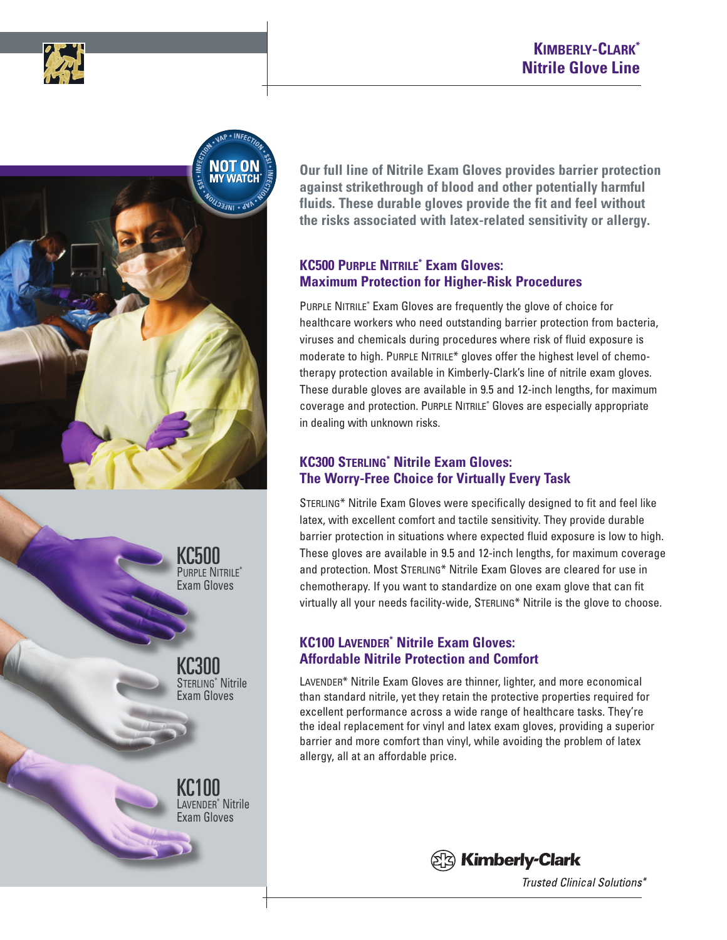





KC500 PURPLE NITRILE<sup>\*</sup> Exam Gloves

KC300 Sterling\* Nitrile Exam Gloves

KC100 Lavender\* Nitrile Exam Gloves

**Our full line of Nitrile Exam Gloves provides barrier protection against strikethrough of blood and other potentially harmful fluids. These durable gloves provide the fit and feel without the risks associated with latex-related sensitivity or allergy.**

### **KC500 Purple Nitrile\* Exam Gloves: Maximum Protection for Higher-Risk Procedures**

PURPLE NITRILE<sup>\*</sup> Exam Gloves are frequently the glove of choice for healthcare workers who need outstanding barrier protection from bacteria, viruses and chemicals during procedures where risk of fluid exposure is moderate to high. PURPLE NITRILE\* gloves offer the highest level of chemotherapy protection available in Kimberly-Clark's line of nitrile exam gloves. These durable gloves are available in 9.5 and 12-inch lengths, for maximum coverage and protection. Purple Nitrile\* Gloves are especially appropriate in dealing with unknown risks.

### **KC300 Sterling\* Nitrile Exam Gloves: The Worry-Free Choice for Virtually Every Task**

Sterling\* Nitrile Exam Gloves were specifically designed to fit and feel like latex, with excellent comfort and tactile sensitivity. They provide durable barrier protection in situations where expected fluid exposure is low to high. These gloves are available in 9.5 and 12-inch lengths, for maximum coverage and protection. Most STERLING\* Nitrile Exam Gloves are cleared for use in chemotherapy. If you want to standardize on one exam glove that can fit virtually all your needs facility-wide, STERLING\* Nitrile is the glove to choose.

# **KC100 Lavender\* Nitrile Exam Gloves: Affordable Nitrile Protection and Comfort**

LAVENDER\* Nitrile Exam Gloves are thinner, lighter, and more economical than standard nitrile, yet they retain the protective properties required for excellent performance across a wide range of healthcare tasks. They're the ideal replacement for vinyl and latex exam gloves, providing a superior barrier and more comfort than vinyl, while avoiding the problem of latex allergy, all at an affordable price.



Trusted Clinical Solutions\*